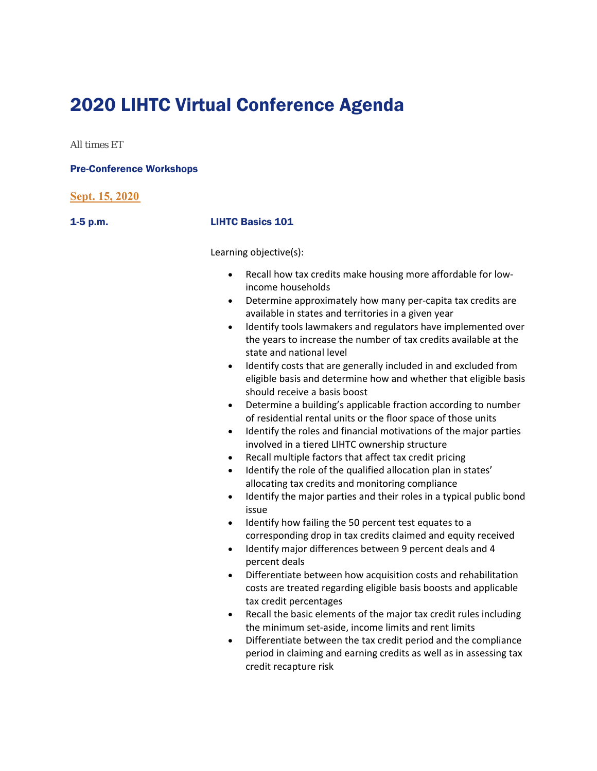# 2020 LIHTC Virtual Conference Agenda

All times ET

### Pre-Conference Workshops

|  | Sept. 15, 2020 |  |
|--|----------------|--|
|  |                |  |

## 1-5 p.m. LIHTC Basics 101

Learning objective(s):

- Recall how tax credits make housing more affordable for lowincome households
- Determine approximately how many per-capita tax credits are available in states and territories in a given year
- Identify tools lawmakers and regulators have implemented over the years to increase the number of tax credits available at the state and national level
- Identify costs that are generally included in and excluded from eligible basis and determine how and whether that eligible basis should receive a basis boost
- Determine a building's applicable fraction according to number of residential rental units or the floor space of those units
- Identify the roles and financial motivations of the major parties involved in a tiered LIHTC ownership structure
- Recall multiple factors that affect tax credit pricing
- Identify the role of the qualified allocation plan in states' allocating tax credits and monitoring compliance
- Identify the major parties and their roles in a typical public bond issue
- Identify how failing the 50 percent test equates to a corresponding drop in tax credits claimed and equity received
- Identify major differences between 9 percent deals and 4 percent deals
- Differentiate between how acquisition costs and rehabilitation costs are treated regarding eligible basis boosts and applicable tax credit percentages
- Recall the basic elements of the major tax credit rules including the minimum set‐aside, income limits and rent limits
- Differentiate between the tax credit period and the compliance period in claiming and earning credits as well as in assessing tax credit recapture risk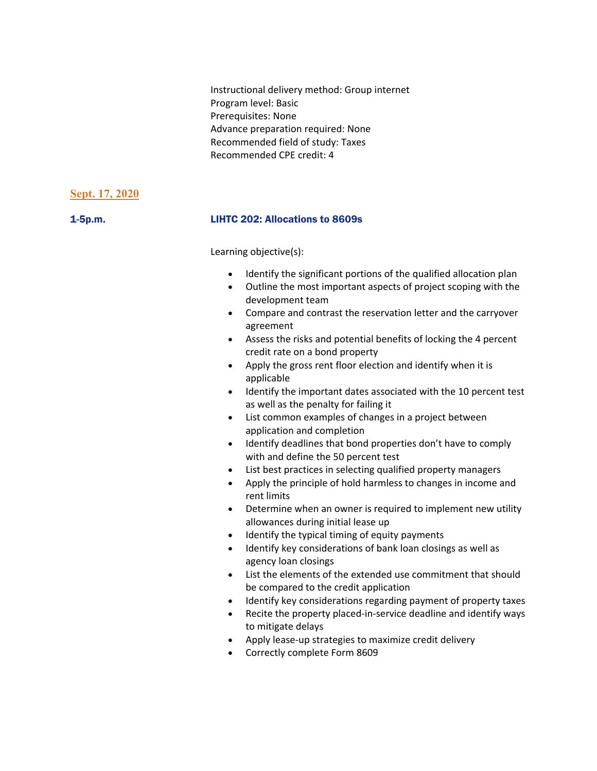Instructional delivery method: Group internet Program level: Basic Prerequisites: None Advance preparation required: None Recommended field of study: Taxes Recommended CPE credit: 4

## **Sept. 17, 2020**

## 1-5p.m. LIHTC 202: Allocations to 8609s

Learning objective(s):

- Identify the significant portions of the qualified allocation plan
- Outline the most important aspects of project scoping with the development team
- Compare and contrast the reservation letter and the carryover agreement
- Assess the risks and potential benefits of locking the 4 percent credit rate on a bond property
- Apply the gross rent floor election and identify when it is applicable
- Identify the important dates associated with the 10 percent test as well as the penalty for failing it
- List common examples of changes in a project between application and completion
- Identify deadlines that bond properties don't have to comply with and define the 50 percent test
- List best practices in selecting qualified property managers
- Apply the principle of hold harmless to changes in income and rent limits
- Determine when an owner is required to implement new utility allowances during initial lease up
- Identify the typical timing of equity payments
- Identify key considerations of bank loan closings as well as agency loan closings
- List the elements of the extended use commitment that should be compared to the credit application
- Identify key considerations regarding payment of property taxes
- Recite the property placed-in-service deadline and identify ways to mitigate delays
- Apply lease-up strategies to maximize credit delivery
- Correctly complete Form 8609